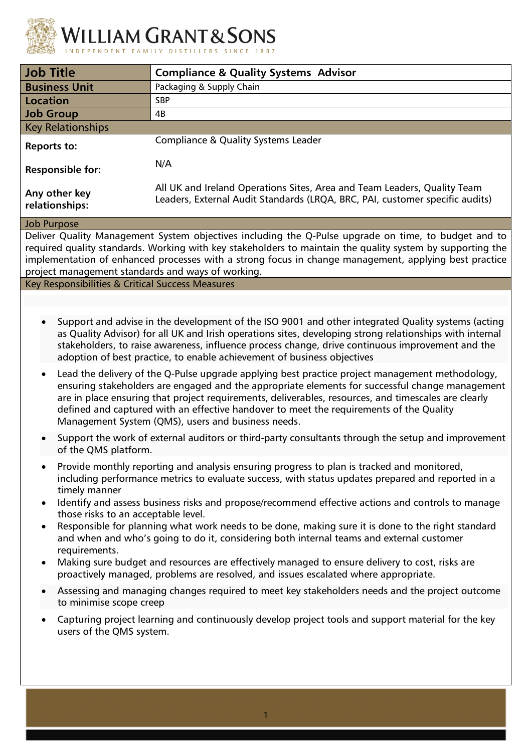

| <b>Job Title</b>                                                                                                                                                                                                                                                                                                                                                                                                                                                         | <b>Compliance &amp; Quality Systems Advisor</b>                                                                                                                                       |  |  |  |
|--------------------------------------------------------------------------------------------------------------------------------------------------------------------------------------------------------------------------------------------------------------------------------------------------------------------------------------------------------------------------------------------------------------------------------------------------------------------------|---------------------------------------------------------------------------------------------------------------------------------------------------------------------------------------|--|--|--|
| <b>Business Unit</b>                                                                                                                                                                                                                                                                                                                                                                                                                                                     | Packaging & Supply Chain                                                                                                                                                              |  |  |  |
| <b>Location</b>                                                                                                                                                                                                                                                                                                                                                                                                                                                          | <b>SBP</b>                                                                                                                                                                            |  |  |  |
| <b>Job Group</b>                                                                                                                                                                                                                                                                                                                                                                                                                                                         | 4B                                                                                                                                                                                    |  |  |  |
| <b>Key Relationships</b>                                                                                                                                                                                                                                                                                                                                                                                                                                                 |                                                                                                                                                                                       |  |  |  |
| <b>Reports to:</b>                                                                                                                                                                                                                                                                                                                                                                                                                                                       | <b>Compliance &amp; Quality Systems Leader</b>                                                                                                                                        |  |  |  |
| <b>Responsible for:</b>                                                                                                                                                                                                                                                                                                                                                                                                                                                  | N/A                                                                                                                                                                                   |  |  |  |
| Any other key<br>relationships:                                                                                                                                                                                                                                                                                                                                                                                                                                          | All UK and Ireland Operations Sites, Area and Team Leaders, Quality Team<br>Leaders, External Audit Standards (LRQA, BRC, PAI, customer specific audits)                              |  |  |  |
| <b>Job Purpose</b>                                                                                                                                                                                                                                                                                                                                                                                                                                                       |                                                                                                                                                                                       |  |  |  |
| Deliver Quality Management System objectives including the Q-Pulse upgrade on time, to budget and to<br>required quality standards. Working with key stakeholders to maintain the quality system by supporting the<br>implementation of enhanced processes with a strong focus in change management, applying best practice<br>project management standards and ways of working.                                                                                         |                                                                                                                                                                                       |  |  |  |
| Key Responsibilities & Critical Success Measures                                                                                                                                                                                                                                                                                                                                                                                                                         |                                                                                                                                                                                       |  |  |  |
|                                                                                                                                                                                                                                                                                                                                                                                                                                                                          |                                                                                                                                                                                       |  |  |  |
| Support and advise in the development of the ISO 9001 and other integrated Quality systems (acting<br>as Quality Advisor) for all UK and Irish operations sites, developing strong relationships with internal<br>stakeholders, to raise awareness, influence process change, drive continuous improvement and the<br>adoption of best practice, to enable achievement of business objectives                                                                            |                                                                                                                                                                                       |  |  |  |
| Lead the delivery of the Q-Pulse upgrade applying best practice project management methodology,<br>$\bullet$<br>ensuring stakeholders are engaged and the appropriate elements for successful change management<br>are in place ensuring that project requirements, deliverables, resources, and timescales are clearly<br>defined and captured with an effective handover to meet the requirements of the Quality<br>Management System (QMS), users and business needs. |                                                                                                                                                                                       |  |  |  |
| of the QMS platform.                                                                                                                                                                                                                                                                                                                                                                                                                                                     | Support the work of external auditors or third-party consultants through the setup and improvement                                                                                    |  |  |  |
| Provide monthly reporting and analysis ensuring progress to plan is tracked and monitored,<br>$\bullet$<br>including performance metrics to evaluate success, with status updates prepared and reported in a<br>timely manner                                                                                                                                                                                                                                            |                                                                                                                                                                                       |  |  |  |
| Identify and assess business risks and propose/recommend effective actions and controls to manage<br>$\bullet$<br>those risks to an acceptable level.                                                                                                                                                                                                                                                                                                                    |                                                                                                                                                                                       |  |  |  |
| Responsible for planning what work needs to be done, making sure it is done to the right standard<br>$\bullet$<br>and when and who's going to do it, considering both internal teams and external customer<br>requirements.                                                                                                                                                                                                                                              |                                                                                                                                                                                       |  |  |  |
| $\bullet$                                                                                                                                                                                                                                                                                                                                                                                                                                                                | Making sure budget and resources are effectively managed to ensure delivery to cost, risks are<br>proactively managed, problems are resolved, and issues escalated where appropriate. |  |  |  |
| $\bullet$<br>to minimise scope creep                                                                                                                                                                                                                                                                                                                                                                                                                                     | Assessing and managing changes required to meet key stakeholders needs and the project outcome                                                                                        |  |  |  |
| $\bullet$<br>users of the QMS system.                                                                                                                                                                                                                                                                                                                                                                                                                                    | Capturing project learning and continuously develop project tools and support material for the key                                                                                    |  |  |  |
|                                                                                                                                                                                                                                                                                                                                                                                                                                                                          |                                                                                                                                                                                       |  |  |  |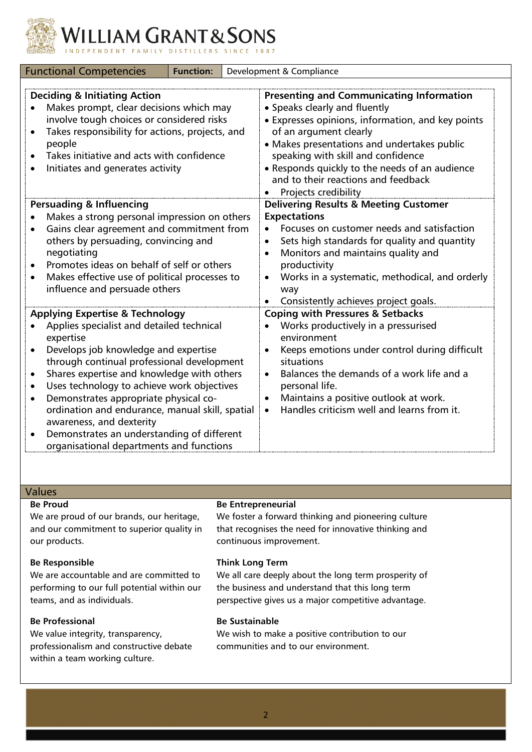

**LLIAM GRANT & SONS** 

| <b>Functional Competencies</b><br><b>Function:</b>                                                                                                                                                                                                                                                                                                                                                                                                                                                                                                                        |  | Development & Compliance                                                                                                                                                                                                                                                                                                                                              |
|---------------------------------------------------------------------------------------------------------------------------------------------------------------------------------------------------------------------------------------------------------------------------------------------------------------------------------------------------------------------------------------------------------------------------------------------------------------------------------------------------------------------------------------------------------------------------|--|-----------------------------------------------------------------------------------------------------------------------------------------------------------------------------------------------------------------------------------------------------------------------------------------------------------------------------------------------------------------------|
| <b>Deciding &amp; Initiating Action</b><br>Makes prompt, clear decisions which may<br>involve tough choices or considered risks<br>Takes responsibility for actions, projects, and<br>$\bullet$<br>people<br>Takes initiative and acts with confidence<br>Initiates and generates activity                                                                                                                                                                                                                                                                                |  | <b>Presenting and Communicating Information</b><br>• Speaks clearly and fluently<br>• Expresses opinions, information, and key points<br>of an argument clearly<br>• Makes presentations and undertakes public<br>speaking with skill and confidence<br>• Responds quickly to the needs of an audience<br>and to their reactions and feedback<br>Projects credibility |
| <b>Persuading &amp; Influencing</b><br>Makes a strong personal impression on others<br>Gains clear agreement and commitment from<br>$\bullet$<br>others by persuading, convincing and<br>negotiating<br>Promotes ideas on behalf of self or others<br>$\bullet$<br>Makes effective use of political processes to<br>$\bullet$<br>influence and persuade others                                                                                                                                                                                                            |  | <b>Delivering Results &amp; Meeting Customer</b><br><b>Expectations</b><br>Focuses on customer needs and satisfaction<br>Sets high standards for quality and quantity<br>Monitors and maintains quality and<br>productivity<br>Works in a systematic, methodical, and orderly<br>way<br>Consistently achieves project goals.                                          |
| <b>Applying Expertise &amp; Technology</b><br>Applies specialist and detailed technical<br>expertise<br>Develops job knowledge and expertise<br>$\bullet$<br>through continual professional development<br>Shares expertise and knowledge with others<br>$\bullet$<br>Uses technology to achieve work objectives<br>$\bullet$<br>Demonstrates appropriate physical co-<br>$\bullet$<br>ordination and endurance, manual skill, spatial<br>awareness, and dexterity<br>Demonstrates an understanding of different<br>$\bullet$<br>organisational departments and functions |  | <b>Coping with Pressures &amp; Setbacks</b><br>Works productively in a pressurised<br>environment<br>Keeps emotions under control during difficult<br>situations<br>Balances the demands of a work life and a<br>$\bullet$<br>personal life.<br>Maintains a positive outlook at work.<br>Handles criticism well and learns from it.<br>$\bullet$                      |

## Values

#### **Be Proud**

We are proud of our brands, our heritage, and our commitment to superior quality in our products.

### **Be Responsible**

We are accountable and are committed to performing to our full potential within our teams, and as individuals.

## **Be Professional**

We value integrity, transparency, professionalism and constructive debate within a team working culture.

#### **Be Entrepreneurial**

We foster a forward thinking and pioneering culture that recognises the need for innovative thinking and continuous improvement.

#### **Think Long Term**

We all care deeply about the long term prosperity of the business and understand that this long term perspective gives us a major competitive advantage.

## **Be Sustainable**

We wish to make a positive contribution to our communities and to our environment.